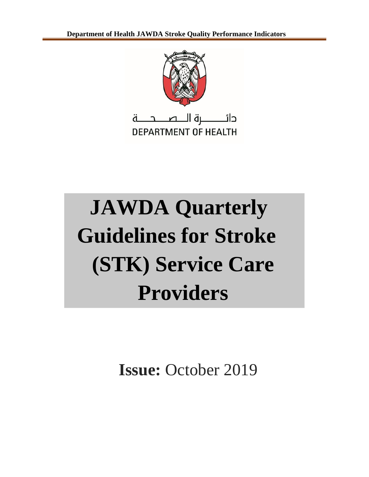

# **JAWDA Quarterly Guidelines for Stroke (STK) Service Care Providers**

**Issue:** October 2019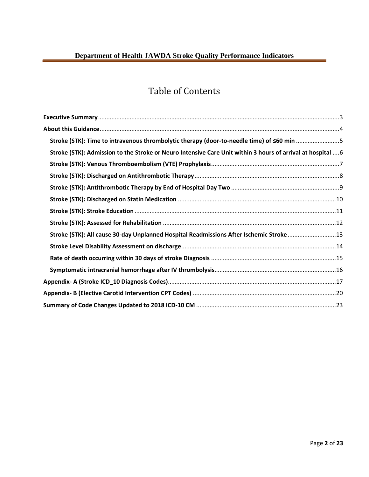# Table of Contents

| Stroke (STK): Time to intravenous thrombolytic therapy (door-to-needle time) of <60 min 5                   |  |
|-------------------------------------------------------------------------------------------------------------|--|
| Stroke (STK): Admission to the Stroke or Neuro Intensive Care Unit within 3 hours of arrival at hospital  6 |  |
|                                                                                                             |  |
|                                                                                                             |  |
|                                                                                                             |  |
|                                                                                                             |  |
|                                                                                                             |  |
|                                                                                                             |  |
| Stroke (STK): All cause 30-day Unplanned Hospital Readmissions After Ischemic Stroke 13                     |  |
|                                                                                                             |  |
|                                                                                                             |  |
|                                                                                                             |  |
|                                                                                                             |  |
|                                                                                                             |  |
|                                                                                                             |  |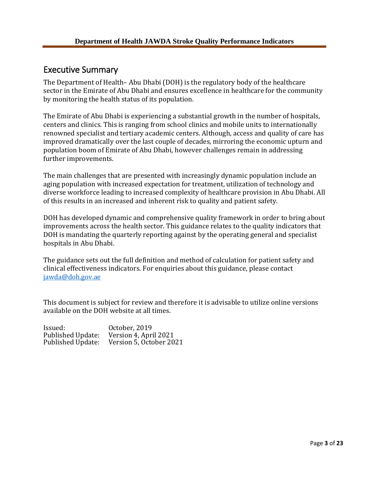# <span id="page-2-0"></span>Executive Summary

The Department of Health– Abu Dhabi (DOH) is the regulatory body of the healthcare sector in the Emirate of Abu Dhabi and ensures excellence in healthcare for the community by monitoring the health status of its population.

The Emirate of Abu Dhabi is experiencing a substantial growth in the number of hospitals, centers and clinics. This is ranging from school clinics and mobile units to internationally renowned specialist and tertiary academic centers. Although, access and quality of care has improved dramatically over the last couple of decades, mirroring the economic upturn and population boom of Emirate of Abu Dhabi, however challenges remain in addressing further improvements.

The main challenges that are presented with increasingly dynamic population include an aging population with increased expectation for treatment, utilization of technology and diverse workforce leading to increased complexity of healthcare provision in Abu Dhabi. All of this results in an increased and inherent risk to quality and patient safety.

DOH has developed dynamic and comprehensive quality framework in order to bring about improvements across the health sector. This guidance relates to the quality indicators that DOH is mandating the quarterly reporting against by the operating general and specialist hospitals in Abu Dhabi.

The guidance sets out the full definition and method of calculation for patient safety and clinical effectiveness indicators. For enquiries about this guidance, please contact [jawda@doh.gov.ae](mailto:jawda@doh.gov.ae)

This document is subject for review and therefore it is advisable to utilize online versions available on the DOH website at all times.

Issued: 0ctober, 2019<br>Published Update: Version 4, Apri Published Update: Version 4, April 2021 Version 5, October 2021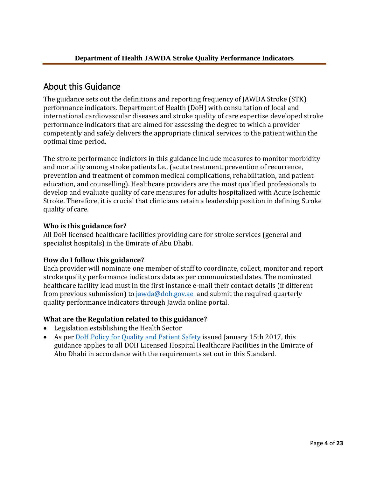# <span id="page-3-0"></span>About this Guidance

The guidance sets out the definitions and reporting frequency of JAWDA Stroke (STK) performance indicators. Department of Health (DoH) with consultation of local and international cardiovascular diseases and stroke quality of care expertise developed stroke performance indicators that are aimed for assessing the degree to which a provider competently and safely delivers the appropriate clinical services to the patient within the optimal time period.

The stroke performance indictors in this guidance include measures to monitor morbidity and mortality among stroke patients I.e., (acute treatment, prevention of recurrence, prevention and treatment of common medical complications, rehabilitation, and patient education, and counselling). Healthcare providers are the most qualified professionals to develop and evaluate quality of care measures for adults hospitalized with Acute Ischemic Stroke. Therefore, it is crucial that clinicians retain a leadership position in defining Stroke quality of care.

# **Who is this guidance for?**

All DoH licensed healthcare facilities providing care for stroke services (general and specialist hospitals) in the Emirate of Abu Dhabi.

# **How do I follow this guidance?**

Each provider will nominate one member of staff to coordinate, collect, monitor and report stroke quality performance indicators data as per communicated dates. The nominated healthcare facility lead must in the first instance e-mail their contact details (if different from previous submission) to [jawda@doh.gov.ae](mailto:jawda@doh.gov.ae) and submit the required quarterly quality performance indicators through Jawda online portal.

# **What are the Regulation related to this guidance?**

- Legislation establishing the Health Sector
- As per DoH Policy for [Quality and Patient](https://www.haad.ae/HAAD/LinkClick.aspx?fileticket=Jrh93s-AyUA%3d&tabid=1276) Safety issued January 15th 2017, this guidance applies to all DOH Licensed Hospital Healthcare Facilities in the Emirate of Abu Dhabi in accordance with the requirements set out in this Standard.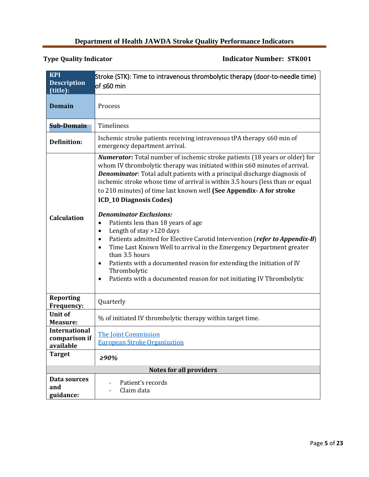<span id="page-4-0"></span>

| <b>KPI</b>                            | Stroke (STK): Time to intravenous thrombolytic therapy (door-to-needle time)                                                                                                                                                                                                                                                                                                                                                                                                                                                                                                                                                                                                                                                                                                                                                                                                                                                                                          |  |  |
|---------------------------------------|-----------------------------------------------------------------------------------------------------------------------------------------------------------------------------------------------------------------------------------------------------------------------------------------------------------------------------------------------------------------------------------------------------------------------------------------------------------------------------------------------------------------------------------------------------------------------------------------------------------------------------------------------------------------------------------------------------------------------------------------------------------------------------------------------------------------------------------------------------------------------------------------------------------------------------------------------------------------------|--|--|
| <b>Description</b><br>(title):        | lof ≤60 min                                                                                                                                                                                                                                                                                                                                                                                                                                                                                                                                                                                                                                                                                                                                                                                                                                                                                                                                                           |  |  |
| <b>Domain</b>                         | Process                                                                                                                                                                                                                                                                                                                                                                                                                                                                                                                                                                                                                                                                                                                                                                                                                                                                                                                                                               |  |  |
| <b>Sub-Domain</b>                     | Timeliness                                                                                                                                                                                                                                                                                                                                                                                                                                                                                                                                                                                                                                                                                                                                                                                                                                                                                                                                                            |  |  |
| <b>Definition:</b>                    | Ischemic stroke patients receiving intravenous tPA therapy ≤60 min of<br>emergency department arrival.                                                                                                                                                                                                                                                                                                                                                                                                                                                                                                                                                                                                                                                                                                                                                                                                                                                                |  |  |
| <b>Calculation</b>                    | <b>Numerator:</b> Total number of ischemic stroke patients (18 years or older) for<br>whom IV thrombolytic therapy was initiated within ≤60 minutes of arrival.<br><b>Denominator:</b> Total adult patients with a principal discharge diagnosis of<br>ischemic stroke whose time of arrival is within 3.5 hours (less than or equal<br>to 210 minutes) of time last known well (See Appendix- A for stroke<br><b>ICD_10 Diagnosis Codes)</b><br><b>Denominator Exclusions:</b><br>Patients less than 18 years of age<br>$\bullet$<br>Length of stay >120 days<br>$\bullet$<br>Patients admitted for Elective Carotid Intervention (refer to Appendix-B)<br>$\bullet$<br>Time Last Known Well to arrival in the Emergency Department greater<br>$\bullet$<br>than 3.5 hours<br>Patients with a documented reason for extending the initiation of IV<br>$\bullet$<br>Thrombolytic<br>Patients with a documented reason for not initiating IV Thrombolytic<br>$\bullet$ |  |  |
| <b>Reporting</b><br><b>Frequency:</b> | Quarterly                                                                                                                                                                                                                                                                                                                                                                                                                                                                                                                                                                                                                                                                                                                                                                                                                                                                                                                                                             |  |  |
| <b>Unit of</b><br><b>Measure:</b>     | % of initiated IV thrombolytic therapy within target time.                                                                                                                                                                                                                                                                                                                                                                                                                                                                                                                                                                                                                                                                                                                                                                                                                                                                                                            |  |  |
| <b>International</b><br>comparison if | <b>The Joint Commission</b>                                                                                                                                                                                                                                                                                                                                                                                                                                                                                                                                                                                                                                                                                                                                                                                                                                                                                                                                           |  |  |
| available                             | <b>European Stroke Organization</b>                                                                                                                                                                                                                                                                                                                                                                                                                                                                                                                                                                                                                                                                                                                                                                                                                                                                                                                                   |  |  |
| <b>Target</b>                         | >90%                                                                                                                                                                                                                                                                                                                                                                                                                                                                                                                                                                                                                                                                                                                                                                                                                                                                                                                                                                  |  |  |
|                                       | <b>Notes for all providers</b>                                                                                                                                                                                                                                                                                                                                                                                                                                                                                                                                                                                                                                                                                                                                                                                                                                                                                                                                        |  |  |
| Data sources<br>and<br>guidance:      | Patient's records<br>Claim data                                                                                                                                                                                                                                                                                                                                                                                                                                                                                                                                                                                                                                                                                                                                                                                                                                                                                                                                       |  |  |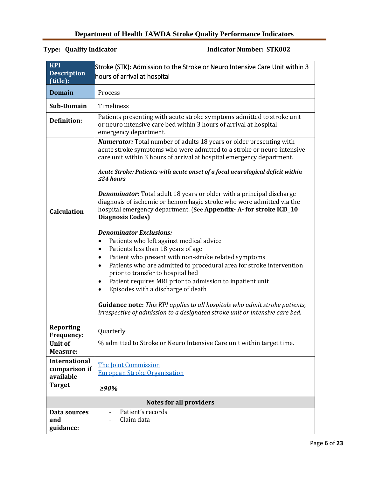<span id="page-5-0"></span>

| <b>KPI</b><br><b>Description</b><br>(title):                        | Stroke (STK): Admission to the Stroke or Neuro Intensive Care Unit within 3<br>hours of arrival at hospital                                                                                                                                                                                                                                                                                                                                                                                                                                                                                                                                                                                                                                                                                                                                                                                                                                                                                                                                                                                                                                                                                                                                |  |
|---------------------------------------------------------------------|--------------------------------------------------------------------------------------------------------------------------------------------------------------------------------------------------------------------------------------------------------------------------------------------------------------------------------------------------------------------------------------------------------------------------------------------------------------------------------------------------------------------------------------------------------------------------------------------------------------------------------------------------------------------------------------------------------------------------------------------------------------------------------------------------------------------------------------------------------------------------------------------------------------------------------------------------------------------------------------------------------------------------------------------------------------------------------------------------------------------------------------------------------------------------------------------------------------------------------------------|--|
| <b>Domain</b>                                                       | Process                                                                                                                                                                                                                                                                                                                                                                                                                                                                                                                                                                                                                                                                                                                                                                                                                                                                                                                                                                                                                                                                                                                                                                                                                                    |  |
| Sub-Domain                                                          | Timeliness                                                                                                                                                                                                                                                                                                                                                                                                                                                                                                                                                                                                                                                                                                                                                                                                                                                                                                                                                                                                                                                                                                                                                                                                                                 |  |
| <b>Definition:</b>                                                  | Patients presenting with acute stroke symptoms admitted to stroke unit<br>or neuro intensive care bed within 3 hours of arrival at hospital<br>emergency department.                                                                                                                                                                                                                                                                                                                                                                                                                                                                                                                                                                                                                                                                                                                                                                                                                                                                                                                                                                                                                                                                       |  |
| <b>Calculation</b>                                                  | <b>Numerator:</b> Total number of adults 18 years or older presenting with<br>acute stroke symptoms who were admitted to a stroke or neuro intensive<br>care unit within 3 hours of arrival at hospital emergency department.<br>Acute Stroke: Patients with acute onset of a focal neurological deficit within<br>$\leq$ 24 hours<br><b>Denominator:</b> Total adult 18 years or older with a principal discharge<br>diagnosis of ischemic or hemorrhagic stroke who were admitted via the<br>hospital emergency department. (See Appendix-A-for stroke ICD_10<br><b>Diagnosis Codes)</b><br><b>Denominator Exclusions:</b><br>Patients who left against medical advice<br>$\bullet$<br>Patients less than 18 years of age<br>$\bullet$<br>Patient who present with non-stroke related symptoms<br>$\bullet$<br>Patients who are admitted to procedural area for stroke intervention<br>$\bullet$<br>prior to transfer to hospital bed<br>Patient requires MRI prior to admission to inpatient unit<br>$\bullet$<br>Episodes with a discharge of death<br>$\bullet$<br><b>Guidance note:</b> This KPI applies to all hospitals who admit stroke patients,<br>irrespective of admission to a designated stroke unit or intensive care bed. |  |
| Reporting<br><b>Frequency:</b>                                      | Quarterly                                                                                                                                                                                                                                                                                                                                                                                                                                                                                                                                                                                                                                                                                                                                                                                                                                                                                                                                                                                                                                                                                                                                                                                                                                  |  |
| <b>Unit of</b><br><b>Measure:</b>                                   | % admitted to Stroke or Neuro Intensive Care unit within target time.                                                                                                                                                                                                                                                                                                                                                                                                                                                                                                                                                                                                                                                                                                                                                                                                                                                                                                                                                                                                                                                                                                                                                                      |  |
| <b>International</b><br>comparison if<br>available<br><b>Target</b> | The Joint Commission<br><b>European Stroke Organization</b><br>≥90%                                                                                                                                                                                                                                                                                                                                                                                                                                                                                                                                                                                                                                                                                                                                                                                                                                                                                                                                                                                                                                                                                                                                                                        |  |
|                                                                     | <b>Notes for all providers</b>                                                                                                                                                                                                                                                                                                                                                                                                                                                                                                                                                                                                                                                                                                                                                                                                                                                                                                                                                                                                                                                                                                                                                                                                             |  |
| Data sources<br>and<br>guidance:                                    | Patient's records<br>$\overline{\phantom{a}}$<br>Claim data                                                                                                                                                                                                                                                                                                                                                                                                                                                                                                                                                                                                                                                                                                                                                                                                                                                                                                                                                                                                                                                                                                                                                                                |  |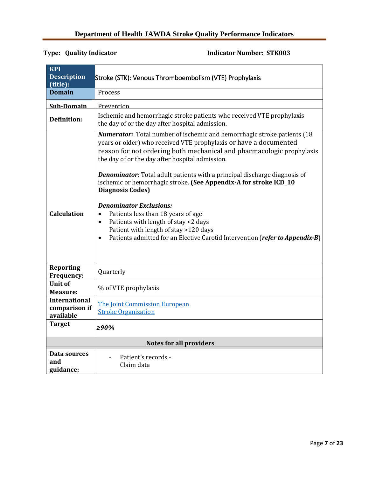<span id="page-6-0"></span>

| <b>KPI</b>                                         |                                                                                                                                                                                                                                                                                                                                                                                                                                                                                                                                                                                                                                                                                                                                                      |  |
|----------------------------------------------------|------------------------------------------------------------------------------------------------------------------------------------------------------------------------------------------------------------------------------------------------------------------------------------------------------------------------------------------------------------------------------------------------------------------------------------------------------------------------------------------------------------------------------------------------------------------------------------------------------------------------------------------------------------------------------------------------------------------------------------------------------|--|
| <b>Description</b><br>(title):                     | Stroke (STK): Venous Thromboembolism (VTE) Prophylaxis                                                                                                                                                                                                                                                                                                                                                                                                                                                                                                                                                                                                                                                                                               |  |
| Domain                                             | Process                                                                                                                                                                                                                                                                                                                                                                                                                                                                                                                                                                                                                                                                                                                                              |  |
| Sub-Domain                                         | Prevention                                                                                                                                                                                                                                                                                                                                                                                                                                                                                                                                                                                                                                                                                                                                           |  |
| <b>Definition:</b>                                 | Ischemic and hemorrhagic stroke patients who received VTE prophylaxis<br>the day of or the day after hospital admission.                                                                                                                                                                                                                                                                                                                                                                                                                                                                                                                                                                                                                             |  |
| <b>Calculation</b>                                 | <b>Numerator:</b> Total number of ischemic and hemorrhagic stroke patients (18)<br>years or older) who received VTE prophylaxis or have a documented<br>reason for not ordering both mechanical and pharmacologic prophylaxis<br>the day of or the day after hospital admission.<br><b>Denominator:</b> Total adult patients with a principal discharge diagnosis of<br>ischemic or hemorrhagic stroke. (See Appendix-A for stroke ICD_10<br><b>Diagnosis Codes)</b><br><b>Denominator Exclusions:</b><br>Patients less than 18 years of age<br>$\bullet$<br>Patients with length of stay <2 days<br>$\bullet$<br>Patient with length of stay >120 days<br>Patients admitted for an Elective Carotid Intervention (refer to Appendix-B)<br>$\bullet$ |  |
| <b>Reporting</b><br>Frequency:                     | Quarterly                                                                                                                                                                                                                                                                                                                                                                                                                                                                                                                                                                                                                                                                                                                                            |  |
| <b>Unit of</b><br><b>Measure:</b>                  | % of VTE prophylaxis                                                                                                                                                                                                                                                                                                                                                                                                                                                                                                                                                                                                                                                                                                                                 |  |
| <b>International</b><br>comparison if<br>available | The Joint Commission European<br><b>Stroke Organization</b>                                                                                                                                                                                                                                                                                                                                                                                                                                                                                                                                                                                                                                                                                          |  |
| <b>Target</b>                                      | $> 90\%$                                                                                                                                                                                                                                                                                                                                                                                                                                                                                                                                                                                                                                                                                                                                             |  |
|                                                    | <b>Notes for all providers</b>                                                                                                                                                                                                                                                                                                                                                                                                                                                                                                                                                                                                                                                                                                                       |  |
| Data sources<br>and<br>guidance:                   | Patient's records -<br>Claim data                                                                                                                                                                                                                                                                                                                                                                                                                                                                                                                                                                                                                                                                                                                    |  |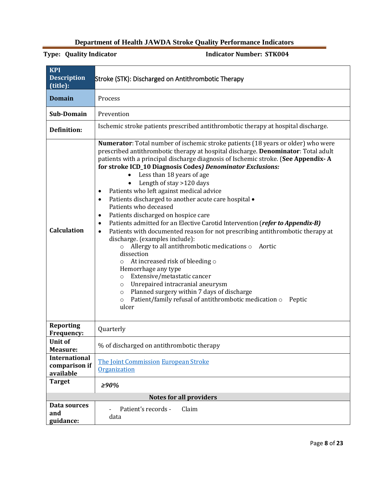<span id="page-7-0"></span>

| <b>KPI</b><br><b>Description</b><br>(title):       | Stroke (STK): Discharged on Antithrombotic Therapy                                                                                                                                                                                                                                                                                                                                                                                                                                                                                                                                                                                                                                                                                                                                                                                                                                                                                                                                                                                                                                                                                                                                                           |  |
|----------------------------------------------------|--------------------------------------------------------------------------------------------------------------------------------------------------------------------------------------------------------------------------------------------------------------------------------------------------------------------------------------------------------------------------------------------------------------------------------------------------------------------------------------------------------------------------------------------------------------------------------------------------------------------------------------------------------------------------------------------------------------------------------------------------------------------------------------------------------------------------------------------------------------------------------------------------------------------------------------------------------------------------------------------------------------------------------------------------------------------------------------------------------------------------------------------------------------------------------------------------------------|--|
| <b>Domain</b>                                      | Process                                                                                                                                                                                                                                                                                                                                                                                                                                                                                                                                                                                                                                                                                                                                                                                                                                                                                                                                                                                                                                                                                                                                                                                                      |  |
| Sub-Domain                                         | Prevention                                                                                                                                                                                                                                                                                                                                                                                                                                                                                                                                                                                                                                                                                                                                                                                                                                                                                                                                                                                                                                                                                                                                                                                                   |  |
| <b>Definition:</b>                                 | Ischemic stroke patients prescribed antithrombotic therapy at hospital discharge.                                                                                                                                                                                                                                                                                                                                                                                                                                                                                                                                                                                                                                                                                                                                                                                                                                                                                                                                                                                                                                                                                                                            |  |
| <b>Calculation</b>                                 | Numerator: Total number of ischemic stroke patients (18 years or older) who were<br>prescribed antithrombotic therapy at hospital discharge. Denominator: Total adult<br>patients with a principal discharge diagnosis of Ischemic stroke. (See Appendix-A<br>for stroke ICD_10 Diagnosis Codes) Denominator Exclusions:<br>Less than 18 years of age<br>Length of stay >120 days<br>Patients who left against medical advice<br>٠<br>Patients discharged to another acute care hospital •<br>$\bullet$<br>Patients who deceased<br>Patients discharged on hospice care<br>$\bullet$<br>Patients admitted for an Elective Carotid Intervention (refer to Appendix-B)<br>$\bullet$<br>Patients with documented reason for not prescribing antithrombotic therapy at<br>$\bullet$<br>discharge. (examples include):<br>Allergy to all antithrombotic medications of<br>Aortic<br>$\circ$<br>dissection<br>At increased risk of bleeding o<br>O<br>Hemorrhage any type<br>Extensive/metastatic cancer<br>$\circ$<br>Unrepaired intracranial aneurysm<br>$\circ$<br>Planned surgery within 7 days of discharge<br>$\circ$<br>Patient/family refusal of antithrombotic medication o<br>Peptic<br>$\circ$<br>ulcer |  |
| <b>Reporting</b><br><b>Frequency:</b>              | Quarterly                                                                                                                                                                                                                                                                                                                                                                                                                                                                                                                                                                                                                                                                                                                                                                                                                                                                                                                                                                                                                                                                                                                                                                                                    |  |
| <b>Unit of</b><br><b>Measure:</b>                  | % of discharged on antithrombotic therapy                                                                                                                                                                                                                                                                                                                                                                                                                                                                                                                                                                                                                                                                                                                                                                                                                                                                                                                                                                                                                                                                                                                                                                    |  |
| <b>International</b><br>comparison if<br>available | The Joint Commission European Stroke<br>Organization                                                                                                                                                                                                                                                                                                                                                                                                                                                                                                                                                                                                                                                                                                                                                                                                                                                                                                                                                                                                                                                                                                                                                         |  |
| <b>Target</b>                                      | >90%                                                                                                                                                                                                                                                                                                                                                                                                                                                                                                                                                                                                                                                                                                                                                                                                                                                                                                                                                                                                                                                                                                                                                                                                         |  |
|                                                    | <b>Notes for all providers</b>                                                                                                                                                                                                                                                                                                                                                                                                                                                                                                                                                                                                                                                                                                                                                                                                                                                                                                                                                                                                                                                                                                                                                                               |  |
| Data sources<br>and<br>guidance:                   | Patient's records -<br>Claim<br>data                                                                                                                                                                                                                                                                                                                                                                                                                                                                                                                                                                                                                                                                                                                                                                                                                                                                                                                                                                                                                                                                                                                                                                         |  |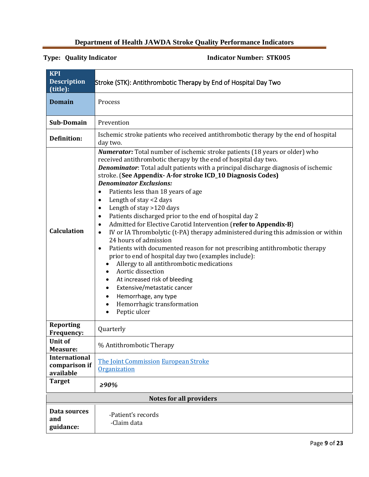<span id="page-8-0"></span>

| <b>KPI</b><br><b>Description</b><br>(title):       | Stroke (STK): Antithrombotic Therapy by End of Hospital Day Two                                                                                                                                                                                                                                                                                                                                                                                                                                                                                                                                                                                                                                                                                                                                                                                                                                                                                                                                                                                                                                                                     |  |
|----------------------------------------------------|-------------------------------------------------------------------------------------------------------------------------------------------------------------------------------------------------------------------------------------------------------------------------------------------------------------------------------------------------------------------------------------------------------------------------------------------------------------------------------------------------------------------------------------------------------------------------------------------------------------------------------------------------------------------------------------------------------------------------------------------------------------------------------------------------------------------------------------------------------------------------------------------------------------------------------------------------------------------------------------------------------------------------------------------------------------------------------------------------------------------------------------|--|
| <b>Domain</b>                                      | Process                                                                                                                                                                                                                                                                                                                                                                                                                                                                                                                                                                                                                                                                                                                                                                                                                                                                                                                                                                                                                                                                                                                             |  |
| Sub-Domain                                         | Prevention                                                                                                                                                                                                                                                                                                                                                                                                                                                                                                                                                                                                                                                                                                                                                                                                                                                                                                                                                                                                                                                                                                                          |  |
| <b>Definition:</b>                                 | Ischemic stroke patients who received antithrombotic therapy by the end of hospital<br>day two.                                                                                                                                                                                                                                                                                                                                                                                                                                                                                                                                                                                                                                                                                                                                                                                                                                                                                                                                                                                                                                     |  |
| <b>Calculation</b>                                 | <b>Numerator:</b> Total number of ischemic stroke patients (18 years or older) who<br>received antithrombotic therapy by the end of hospital day two.<br>Denominator: Total adult patients with a principal discharge diagnosis of ischemic<br>stroke. (See Appendix-A-for stroke ICD_10 Diagnosis Codes)<br><b>Denominator Exclusions:</b><br>Patients less than 18 years of age<br>$\bullet$<br>Length of stay <2 days<br>٠<br>Length of stay >120 days<br>٠<br>Patients discharged prior to the end of hospital day 2<br>٠<br>Admitted for Elective Carotid Intervention (refer to Appendix-B)<br>$\bullet$<br>IV or IA Thrombolytic (t-PA) therapy administered during this admission or within<br>$\bullet$<br>24 hours of admission<br>Patients with documented reason for not prescribing antithrombotic therapy<br>$\bullet$<br>prior to end of hospital day two (examples include):<br>Allergy to all antithrombotic medications<br>Aortic dissection<br>At increased risk of bleeding<br>Extensive/metastatic cancer<br>٠<br>Hemorrhage, any type<br>Hemorrhagic transformation<br>$\bullet$<br>Peptic ulcer<br>$\bullet$ |  |
| <b>Reporting</b><br><b>Frequency:</b>              | Quarterly                                                                                                                                                                                                                                                                                                                                                                                                                                                                                                                                                                                                                                                                                                                                                                                                                                                                                                                                                                                                                                                                                                                           |  |
| Unit of<br><b>Measure:</b>                         | % Antithrombotic Therapy                                                                                                                                                                                                                                                                                                                                                                                                                                                                                                                                                                                                                                                                                                                                                                                                                                                                                                                                                                                                                                                                                                            |  |
| <b>International</b><br>comparison if<br>available | The Joint Commission European Stroke<br>Organization                                                                                                                                                                                                                                                                                                                                                                                                                                                                                                                                                                                                                                                                                                                                                                                                                                                                                                                                                                                                                                                                                |  |
| <b>Target</b>                                      | >90%                                                                                                                                                                                                                                                                                                                                                                                                                                                                                                                                                                                                                                                                                                                                                                                                                                                                                                                                                                                                                                                                                                                                |  |
|                                                    | <b>Notes for all providers</b>                                                                                                                                                                                                                                                                                                                                                                                                                                                                                                                                                                                                                                                                                                                                                                                                                                                                                                                                                                                                                                                                                                      |  |
| Data sources<br>and<br>guidance:                   | -Patient's records<br>-Claim data                                                                                                                                                                                                                                                                                                                                                                                                                                                                                                                                                                                                                                                                                                                                                                                                                                                                                                                                                                                                                                                                                                   |  |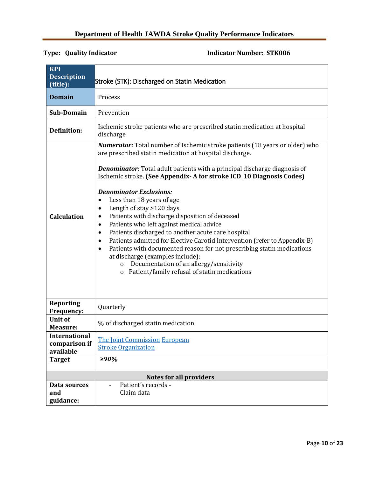<span id="page-9-0"></span>

| <b>KPI</b><br><b>Description</b><br>(title):       | Stroke (STK): Discharged on Statin Medication                                                                                                                                                                                                                                                                                                                                                                                                                                                                                                                                                                                                                                                                                                                                                                                                                                                                                                   |  |
|----------------------------------------------------|-------------------------------------------------------------------------------------------------------------------------------------------------------------------------------------------------------------------------------------------------------------------------------------------------------------------------------------------------------------------------------------------------------------------------------------------------------------------------------------------------------------------------------------------------------------------------------------------------------------------------------------------------------------------------------------------------------------------------------------------------------------------------------------------------------------------------------------------------------------------------------------------------------------------------------------------------|--|
| <b>Domain</b>                                      | Process                                                                                                                                                                                                                                                                                                                                                                                                                                                                                                                                                                                                                                                                                                                                                                                                                                                                                                                                         |  |
| Sub-Domain                                         | Prevention                                                                                                                                                                                                                                                                                                                                                                                                                                                                                                                                                                                                                                                                                                                                                                                                                                                                                                                                      |  |
| <b>Definition:</b>                                 | Ischemic stroke patients who are prescribed statin medication at hospital<br>discharge                                                                                                                                                                                                                                                                                                                                                                                                                                                                                                                                                                                                                                                                                                                                                                                                                                                          |  |
| <b>Calculation</b>                                 | <b>Numerator:</b> Total number of Ischemic stroke patients (18 years or older) who<br>are prescribed statin medication at hospital discharge.<br><b>Denominator:</b> Total adult patients with a principal discharge diagnosis of<br>Ischemic stroke. (See Appendix-A for stroke ICD_10 Diagnosis Codes)<br><b>Denominator Exclusions:</b><br>Less than 18 years of age<br>$\bullet$<br>Length of stay >120 days<br>$\bullet$<br>Patients with discharge disposition of deceased<br>٠<br>Patients who left against medical advice<br>$\bullet$<br>Patients discharged to another acute care hospital<br>$\bullet$<br>Patients admitted for Elective Carotid Intervention (refer to Appendix-B)<br>٠<br>Patients with documented reason for not prescribing statin medications<br>$\bullet$<br>at discharge (examples include):<br>Documentation of an allergy/sensitivity<br>$\circ$<br>Patient/family refusal of statin medications<br>$\circ$ |  |
| <b>Reporting</b><br>Frequency:                     | Quarterly                                                                                                                                                                                                                                                                                                                                                                                                                                                                                                                                                                                                                                                                                                                                                                                                                                                                                                                                       |  |
| <b>Unit of</b><br><b>Measure:</b>                  | % of discharged statin medication                                                                                                                                                                                                                                                                                                                                                                                                                                                                                                                                                                                                                                                                                                                                                                                                                                                                                                               |  |
| <b>International</b><br>comparison if<br>available | The Joint Commission European<br><b>Stroke Organization</b>                                                                                                                                                                                                                                                                                                                                                                                                                                                                                                                                                                                                                                                                                                                                                                                                                                                                                     |  |
| <b>Target</b>                                      | $\geq 90\%$                                                                                                                                                                                                                                                                                                                                                                                                                                                                                                                                                                                                                                                                                                                                                                                                                                                                                                                                     |  |
|                                                    | <b>Notes for all providers</b>                                                                                                                                                                                                                                                                                                                                                                                                                                                                                                                                                                                                                                                                                                                                                                                                                                                                                                                  |  |
| Data sources<br>and<br>guidance:                   | Patient's records -<br>Claim data                                                                                                                                                                                                                                                                                                                                                                                                                                                                                                                                                                                                                                                                                                                                                                                                                                                                                                               |  |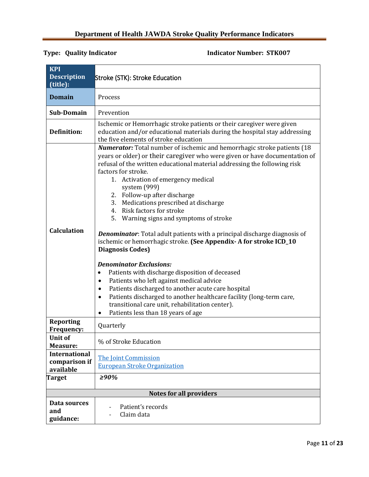<span id="page-10-0"></span>

| <b>KPI</b>                                         |                                                                                                                                                                                                                                                                                                                                                                                                                                                                                                                                                                                                                                                                                                                                                                                                                                                                                                                                                                                                                                                                                 |  |
|----------------------------------------------------|---------------------------------------------------------------------------------------------------------------------------------------------------------------------------------------------------------------------------------------------------------------------------------------------------------------------------------------------------------------------------------------------------------------------------------------------------------------------------------------------------------------------------------------------------------------------------------------------------------------------------------------------------------------------------------------------------------------------------------------------------------------------------------------------------------------------------------------------------------------------------------------------------------------------------------------------------------------------------------------------------------------------------------------------------------------------------------|--|
| <b>Description</b><br>(title):                     | Stroke (STK): Stroke Education                                                                                                                                                                                                                                                                                                                                                                                                                                                                                                                                                                                                                                                                                                                                                                                                                                                                                                                                                                                                                                                  |  |
| <b>Domain</b>                                      | Process                                                                                                                                                                                                                                                                                                                                                                                                                                                                                                                                                                                                                                                                                                                                                                                                                                                                                                                                                                                                                                                                         |  |
| Sub-Domain                                         | Prevention                                                                                                                                                                                                                                                                                                                                                                                                                                                                                                                                                                                                                                                                                                                                                                                                                                                                                                                                                                                                                                                                      |  |
| <b>Definition:</b>                                 | Ischemic or Hemorrhagic stroke patients or their caregiver were given<br>education and/or educational materials during the hospital stay addressing<br>the five elements of stroke education                                                                                                                                                                                                                                                                                                                                                                                                                                                                                                                                                                                                                                                                                                                                                                                                                                                                                    |  |
| <b>Calculation</b>                                 | <b>Numerator:</b> Total number of ischemic and hemorrhagic stroke patients (18)<br>years or older) or their caregiver who were given or have documentation of<br>refusal of the written educational material addressing the following risk<br>factors for stroke.<br>Activation of emergency medical<br>1.<br>system (999)<br>2. Follow-up after discharge<br>3. Medications prescribed at discharge<br>4. Risk factors for stroke<br>5.<br>Warning signs and symptoms of stroke<br><b>Denominator:</b> Total adult patients with a principal discharge diagnosis of<br>ischemic or hemorrhagic stroke. (See Appendix-A for stroke ICD_10<br><b>Diagnosis Codes)</b><br><b>Denominator Exclusions:</b><br>Patients with discharge disposition of deceased<br>$\bullet$<br>Patients who left against medical advice<br>Patients discharged to another acute care hospital<br>$\bullet$<br>Patients discharged to another healthcare facility (long-term care,<br>$\bullet$<br>transitional care unit, rehabilitation center).<br>Patients less than 18 years of age<br>$\bullet$ |  |
| <b>Reporting</b><br><b>Frequency:</b>              | Quarterly                                                                                                                                                                                                                                                                                                                                                                                                                                                                                                                                                                                                                                                                                                                                                                                                                                                                                                                                                                                                                                                                       |  |
| Unit of<br>Measure:                                | % of Stroke Education                                                                                                                                                                                                                                                                                                                                                                                                                                                                                                                                                                                                                                                                                                                                                                                                                                                                                                                                                                                                                                                           |  |
| <b>International</b><br>comparison if<br>available | The Joint Commission<br><b>European Stroke Organization</b>                                                                                                                                                                                                                                                                                                                                                                                                                                                                                                                                                                                                                                                                                                                                                                                                                                                                                                                                                                                                                     |  |
| <b>Target</b>                                      | $\geq 90\%$                                                                                                                                                                                                                                                                                                                                                                                                                                                                                                                                                                                                                                                                                                                                                                                                                                                                                                                                                                                                                                                                     |  |
|                                                    | <b>Notes for all providers</b>                                                                                                                                                                                                                                                                                                                                                                                                                                                                                                                                                                                                                                                                                                                                                                                                                                                                                                                                                                                                                                                  |  |
| Data sources<br>and<br>guidance:                   | Patient's records<br>Claim data                                                                                                                                                                                                                                                                                                                                                                                                                                                                                                                                                                                                                                                                                                                                                                                                                                                                                                                                                                                                                                                 |  |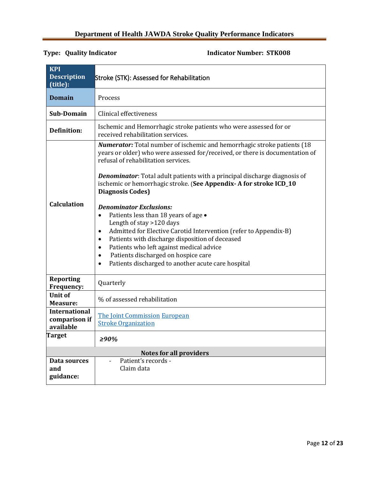<span id="page-11-0"></span>

| <b>KPI</b><br><b>Description</b><br>(title):       | Stroke (STK): Assessed for Rehabilitation                                                                                                                                                                                                                                                                                                                                                                                                                                                                                                                                                                                                                                                                                                                                                                                              |  |
|----------------------------------------------------|----------------------------------------------------------------------------------------------------------------------------------------------------------------------------------------------------------------------------------------------------------------------------------------------------------------------------------------------------------------------------------------------------------------------------------------------------------------------------------------------------------------------------------------------------------------------------------------------------------------------------------------------------------------------------------------------------------------------------------------------------------------------------------------------------------------------------------------|--|
| <b>Domain</b>                                      | Process                                                                                                                                                                                                                                                                                                                                                                                                                                                                                                                                                                                                                                                                                                                                                                                                                                |  |
| Sub-Domain                                         | Clinical effectiveness                                                                                                                                                                                                                                                                                                                                                                                                                                                                                                                                                                                                                                                                                                                                                                                                                 |  |
| <b>Definition:</b>                                 | Ischemic and Hemorrhagic stroke patients who were assessed for or<br>received rehabilitation services.                                                                                                                                                                                                                                                                                                                                                                                                                                                                                                                                                                                                                                                                                                                                 |  |
| <b>Calculation</b>                                 | Numerator: Total number of ischemic and hemorrhagic stroke patients (18<br>years or older) who were assessed for/received, or there is documentation of<br>refusal of rehabilitation services.<br><b>Denominator:</b> Total adult patients with a principal discharge diagnosis of<br>ischemic or hemorrhagic stroke. (See Appendix-A for stroke ICD_10<br><b>Diagnosis Codes)</b><br><b>Denominator Exclusions:</b><br>Patients less than 18 years of age .<br>$\bullet$<br>Length of stay >120 days<br>Admitted for Elective Carotid Intervention (refer to Appendix-B)<br>$\bullet$<br>Patients with discharge disposition of deceased<br>$\bullet$<br>Patients who left against medical advice<br>$\bullet$<br>Patients discharged on hospice care<br>$\bullet$<br>Patients discharged to another acute care hospital<br>$\bullet$ |  |
| <b>Reporting</b><br><b>Frequency:</b>              | Quarterly                                                                                                                                                                                                                                                                                                                                                                                                                                                                                                                                                                                                                                                                                                                                                                                                                              |  |
| <b>Unit of</b><br><b>Measure:</b>                  | % of assessed rehabilitation                                                                                                                                                                                                                                                                                                                                                                                                                                                                                                                                                                                                                                                                                                                                                                                                           |  |
| <b>International</b><br>comparison if<br>available | <b>The Joint Commission European</b><br><b>Stroke Organization</b>                                                                                                                                                                                                                                                                                                                                                                                                                                                                                                                                                                                                                                                                                                                                                                     |  |
| <b>Target</b>                                      | ≥90%                                                                                                                                                                                                                                                                                                                                                                                                                                                                                                                                                                                                                                                                                                                                                                                                                                   |  |
|                                                    | <b>Notes for all providers</b>                                                                                                                                                                                                                                                                                                                                                                                                                                                                                                                                                                                                                                                                                                                                                                                                         |  |
| Data sources<br>and<br>guidance:                   | Patient's records -<br>Claim data                                                                                                                                                                                                                                                                                                                                                                                                                                                                                                                                                                                                                                                                                                                                                                                                      |  |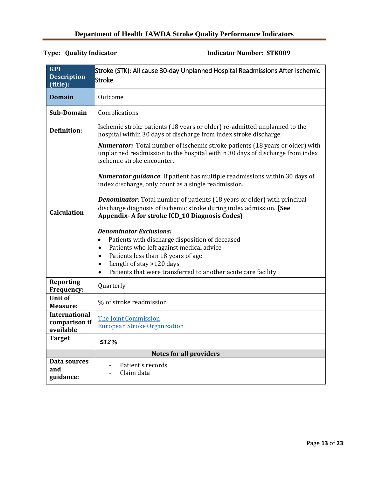<span id="page-12-0"></span>

| <b>KPI</b><br><b>Description</b><br>(title):       | Stroke (STK): All cause 30-day Unplanned Hospital Readmissions After Ischemic<br>Stroke                                                                                                                                                                                                                                                                                                                                                                                                                                                                                                                                                                                                                                                                                                                                                                                      |  |
|----------------------------------------------------|------------------------------------------------------------------------------------------------------------------------------------------------------------------------------------------------------------------------------------------------------------------------------------------------------------------------------------------------------------------------------------------------------------------------------------------------------------------------------------------------------------------------------------------------------------------------------------------------------------------------------------------------------------------------------------------------------------------------------------------------------------------------------------------------------------------------------------------------------------------------------|--|
| <b>Domain</b>                                      | Outcome                                                                                                                                                                                                                                                                                                                                                                                                                                                                                                                                                                                                                                                                                                                                                                                                                                                                      |  |
| Sub-Domain                                         | Complications                                                                                                                                                                                                                                                                                                                                                                                                                                                                                                                                                                                                                                                                                                                                                                                                                                                                |  |
| <b>Definition:</b>                                 | Ischemic stroke patients (18 years or older) re-admitted unplanned to the<br>hospital within 30 days of discharge from index stroke discharge.                                                                                                                                                                                                                                                                                                                                                                                                                                                                                                                                                                                                                                                                                                                               |  |
| <b>Calculation</b>                                 | <b>Numerator:</b> Total number of ischemic stroke patients (18 years or older) with<br>unplanned readmission to the hospital within 30 days of discharge from index<br>ischemic stroke encounter.<br><b>Numerator guidance</b> : If patient has multiple readmissions within 30 days of<br>index discharge, only count as a single readmission.<br><b>Denominator:</b> Total number of patients (18 years or older) with principal<br>discharge diagnosis of ischemic stroke during index admission. (See<br><b>Appendix-A for stroke ICD_10 Diagnosis Codes)</b><br><b>Denominator Exclusions:</b><br>Patients with discharge disposition of deceased<br>$\bullet$<br>Patients who left against medical advice<br>$\bullet$<br>Patients less than 18 years of age<br>$\bullet$<br>Length of stay >120 days<br>Patients that were transferred to another acute care facility |  |
| <b>Reporting</b><br>Frequency:                     | Quarterly                                                                                                                                                                                                                                                                                                                                                                                                                                                                                                                                                                                                                                                                                                                                                                                                                                                                    |  |
| <b>Unit of</b><br><b>Measure:</b>                  | % of stroke readmission                                                                                                                                                                                                                                                                                                                                                                                                                                                                                                                                                                                                                                                                                                                                                                                                                                                      |  |
| <b>International</b><br>comparison if<br>available | The Joint Commission<br><b>European Stroke Organization</b>                                                                                                                                                                                                                                                                                                                                                                                                                                                                                                                                                                                                                                                                                                                                                                                                                  |  |
| <b>Target</b>                                      | $\leq 12\%$                                                                                                                                                                                                                                                                                                                                                                                                                                                                                                                                                                                                                                                                                                                                                                                                                                                                  |  |
|                                                    | <b>Notes for all providers</b>                                                                                                                                                                                                                                                                                                                                                                                                                                                                                                                                                                                                                                                                                                                                                                                                                                               |  |
| Data sources<br>and<br>guidance:                   | Patient's records<br>Claim data                                                                                                                                                                                                                                                                                                                                                                                                                                                                                                                                                                                                                                                                                                                                                                                                                                              |  |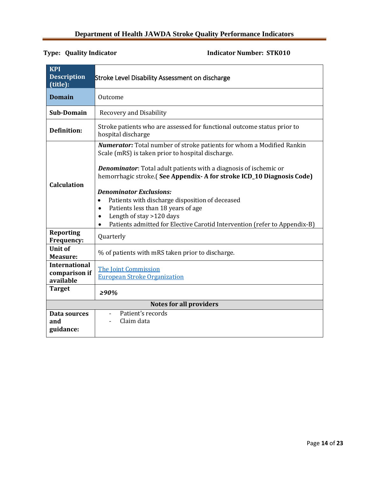<span id="page-13-0"></span>

| <b>KPI</b><br><b>Description</b><br>(title):       | <b>Stroke Level Disability Assessment on discharge</b>                                                                                                                                                                                                                                                                                                                                                                                                                                                                                                                           |  |
|----------------------------------------------------|----------------------------------------------------------------------------------------------------------------------------------------------------------------------------------------------------------------------------------------------------------------------------------------------------------------------------------------------------------------------------------------------------------------------------------------------------------------------------------------------------------------------------------------------------------------------------------|--|
| <b>Domain</b>                                      | Outcome                                                                                                                                                                                                                                                                                                                                                                                                                                                                                                                                                                          |  |
| <b>Sub-Domain</b>                                  | <b>Recovery and Disability</b>                                                                                                                                                                                                                                                                                                                                                                                                                                                                                                                                                   |  |
| <b>Definition:</b>                                 | Stroke patients who are assessed for functional outcome status prior to<br>hospital discharge                                                                                                                                                                                                                                                                                                                                                                                                                                                                                    |  |
| <b>Calculation</b>                                 | <b>Numerator:</b> Total number of stroke patients for whom a Modified Rankin<br>Scale (mRS) is taken prior to hospital discharge.<br><b>Denominator:</b> Total adult patients with a diagnosis of ischemic or<br>hemorrhagic stroke. (See Appendix - A for stroke ICD_10 Diagnosis Code)<br><b>Denominator Exclusions:</b><br>Patients with discharge disposition of deceased<br>$\bullet$<br>Patients less than 18 years of age<br>$\bullet$<br>Length of stay >120 days<br>$\bullet$<br>Patients admitted for Elective Carotid Intervention (refer to Appendix-B)<br>$\bullet$ |  |
| <b>Reporting</b><br>Frequency:                     | Quarterly                                                                                                                                                                                                                                                                                                                                                                                                                                                                                                                                                                        |  |
| <b>Unit of</b><br>Measure:                         | % of patients with mRS taken prior to discharge.                                                                                                                                                                                                                                                                                                                                                                                                                                                                                                                                 |  |
| <b>International</b><br>comparison if<br>available | <b>The Joint Commission</b><br><b>European Stroke Organization</b>                                                                                                                                                                                                                                                                                                                                                                                                                                                                                                               |  |
| <b>Target</b>                                      | $> 90\%$                                                                                                                                                                                                                                                                                                                                                                                                                                                                                                                                                                         |  |
|                                                    | <b>Notes for all providers</b>                                                                                                                                                                                                                                                                                                                                                                                                                                                                                                                                                   |  |
| Data sources<br>and<br>guidance:                   | Patient's records<br>$\overline{\phantom{a}}$<br>Claim data                                                                                                                                                                                                                                                                                                                                                                                                                                                                                                                      |  |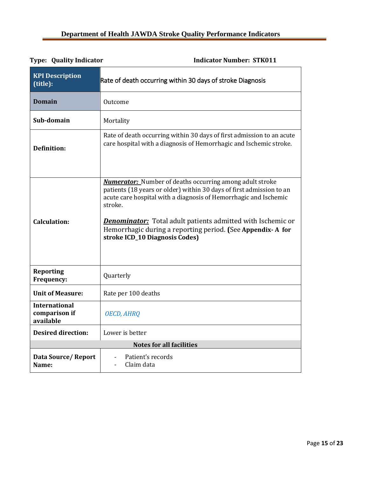<span id="page-14-0"></span>

| <b>KPI Description</b><br>(title):                 | Rate of death occurring within 30 days of stroke Diagnosis                                                                                                                                                                                                                                                                                                                                   |  |
|----------------------------------------------------|----------------------------------------------------------------------------------------------------------------------------------------------------------------------------------------------------------------------------------------------------------------------------------------------------------------------------------------------------------------------------------------------|--|
| <b>Domain</b>                                      | Outcome                                                                                                                                                                                                                                                                                                                                                                                      |  |
| Sub-domain                                         | Mortality                                                                                                                                                                                                                                                                                                                                                                                    |  |
| <b>Definition:</b>                                 | Rate of death occurring within 30 days of first admission to an acute<br>care hospital with a diagnosis of Hemorrhagic and Ischemic stroke.                                                                                                                                                                                                                                                  |  |
| <b>Calculation:</b>                                | <b>Numerator:</b> Number of deaths occurring among adult stroke<br>patients (18 years or older) within 30 days of first admission to an<br>acute care hospital with a diagnosis of Hemorrhagic and Ischemic<br>stroke.<br><b>Denominator:</b> Total adult patients admitted with Ischemic or<br>Hemorrhagic during a reporting period. (See Appendix-A for<br>stroke ICD_10 Diagnosis Codes) |  |
| <b>Reporting</b><br>Frequency:                     | Quarterly                                                                                                                                                                                                                                                                                                                                                                                    |  |
| <b>Unit of Measure:</b>                            | Rate per 100 deaths                                                                                                                                                                                                                                                                                                                                                                          |  |
| <b>International</b><br>comparison if<br>available | <b>OECD, AHRQ</b>                                                                                                                                                                                                                                                                                                                                                                            |  |
| <b>Desired direction:</b>                          | Lower is better                                                                                                                                                                                                                                                                                                                                                                              |  |
|                                                    | <b>Notes for all facilities</b>                                                                                                                                                                                                                                                                                                                                                              |  |
| Data Source/Report<br>Name:                        | Patient's records<br>Claim data                                                                                                                                                                                                                                                                                                                                                              |  |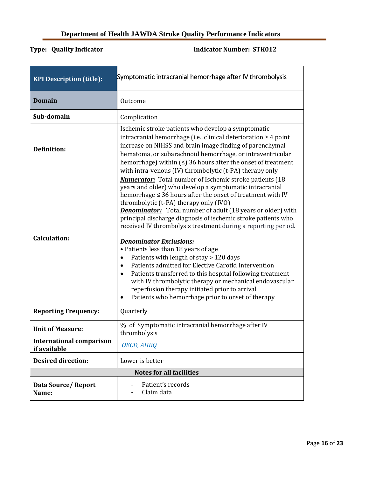<span id="page-15-0"></span>

| <b>KPI Description (title):</b>                 | Symptomatic intracranial hemorrhage after IV thrombolysis                                                                                                                                                                                                                                                                                                                                                                                                                                                                                                                                                                                                                                                                                                                                                                                                                                         |  |  |
|-------------------------------------------------|---------------------------------------------------------------------------------------------------------------------------------------------------------------------------------------------------------------------------------------------------------------------------------------------------------------------------------------------------------------------------------------------------------------------------------------------------------------------------------------------------------------------------------------------------------------------------------------------------------------------------------------------------------------------------------------------------------------------------------------------------------------------------------------------------------------------------------------------------------------------------------------------------|--|--|
| <b>Domain</b>                                   | Outcome                                                                                                                                                                                                                                                                                                                                                                                                                                                                                                                                                                                                                                                                                                                                                                                                                                                                                           |  |  |
| Sub-domain                                      | Complication                                                                                                                                                                                                                                                                                                                                                                                                                                                                                                                                                                                                                                                                                                                                                                                                                                                                                      |  |  |
| <b>Definition:</b>                              | Ischemic stroke patients who develop a symptomatic<br>intracranial hemorrhage (i.e., clinical deterioration $\geq 4$ point<br>increase on NIHSS and brain image finding of parenchymal<br>hematoma, or subarachnoid hemorrhage, or intraventricular<br>hemorrhage) within $(≤)$ 36 hours after the onset of treatment<br>with intra-venous (IV) thrombolytic (t-PA) therapy only                                                                                                                                                                                                                                                                                                                                                                                                                                                                                                                  |  |  |
| <b>Calculation:</b>                             | <b>Numerator:</b> Total number of Ischemic stroke patients (18)<br>years and older) who develop a symptomatic intracranial<br>hemorrhage $\leq$ 36 hours after the onset of treatment with IV<br>thrombolytic (t-PA) therapy only (IVO)<br><b>Denominator:</b> Total number of adult (18 years or older) with<br>principal discharge diagnosis of ischemic stroke patients who<br>received IV thrombolysis treatment during a reporting period.<br><b>Denominator Exclusions:</b><br>• Patients less than 18 years of age<br>Patients with length of stay > 120 days<br>$\bullet$<br>Patients admitted for Elective Carotid Intervention<br>$\bullet$<br>Patients transferred to this hospital following treatment<br>$\bullet$<br>with IV thrombolytic therapy or mechanical endovascular<br>reperfusion therapy initiated prior to arrival<br>Patients who hemorrhage prior to onset of therapy |  |  |
| <b>Reporting Frequency:</b>                     | Quarterly                                                                                                                                                                                                                                                                                                                                                                                                                                                                                                                                                                                                                                                                                                                                                                                                                                                                                         |  |  |
| <b>Unit of Measure:</b>                         | % of Symptomatic intracranial hemorrhage after IV<br>thrombolysis                                                                                                                                                                                                                                                                                                                                                                                                                                                                                                                                                                                                                                                                                                                                                                                                                                 |  |  |
| <b>International comparison</b><br>if available | <b>OECD, AHRQ</b>                                                                                                                                                                                                                                                                                                                                                                                                                                                                                                                                                                                                                                                                                                                                                                                                                                                                                 |  |  |
| <b>Desired direction:</b>                       | Lower is better                                                                                                                                                                                                                                                                                                                                                                                                                                                                                                                                                                                                                                                                                                                                                                                                                                                                                   |  |  |
| <b>Notes for all facilities</b>                 |                                                                                                                                                                                                                                                                                                                                                                                                                                                                                                                                                                                                                                                                                                                                                                                                                                                                                                   |  |  |
| <b>Data Source/Report</b><br>Name:              | Patient's records<br>Claim data                                                                                                                                                                                                                                                                                                                                                                                                                                                                                                                                                                                                                                                                                                                                                                                                                                                                   |  |  |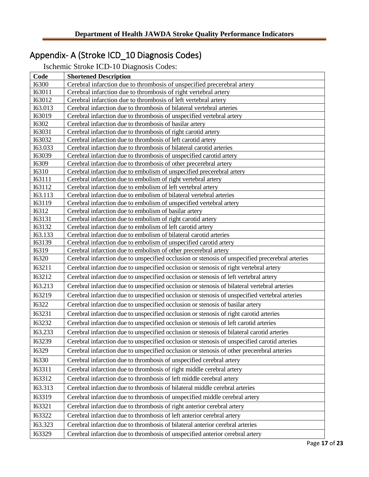# <span id="page-16-0"></span>Appendix- A (Stroke ICD\_10 Diagnosis Codes)

Ischemic Stroke ICD-10 Diagnosis Codes:

| Code                           | <b>Shortened Description</b>                                                                                                  |  |
|--------------------------------|-------------------------------------------------------------------------------------------------------------------------------|--|
| <b>I6300</b>                   | Cerebral infarction due to thrombosis of unspecified precerebral artery                                                       |  |
| I63011                         | Cerebral infarction due to thrombosis of right vertebral artery                                                               |  |
| I63012                         | Cerebral infarction due to thrombosis of left vertebral artery                                                                |  |
| I63.013                        | Cerebral infarction due to thrombosis of bilateral vertebral arteries                                                         |  |
| I63019                         | Cerebral infarction due to thrombosis of unspecified vertebral artery                                                         |  |
| <b>I6302</b>                   | Cerebral infarction due to thrombosis of basilar artery                                                                       |  |
| I63031                         | Cerebral infarction due to thrombosis of right carotid artery                                                                 |  |
| I63032                         | Cerebral infarction due to thrombosis of left carotid artery                                                                  |  |
| I63.033                        | Cerebral infarction due to thrombosis of bilateral carotid arteries                                                           |  |
| <b>I63039</b>                  | Cerebral infarction due to thrombosis of unspecified carotid artery                                                           |  |
| <b>I6309</b>                   | Cerebral infarction due to thrombosis of other precerebral artery                                                             |  |
| <b>I6310</b>                   | Cerebral infarction due to embolism of unspecified precerebral artery                                                         |  |
| <b>I63111</b><br><b>I63112</b> | Cerebral infarction due to embolism of right vertebral artery<br>Cerebral infarction due to embolism of left vertebral artery |  |
| I63.113                        | Cerebral infarction due to embolism of bilateral vertebral arteries                                                           |  |
| I63119                         | Cerebral infarction due to embolism of unspecified vertebral artery                                                           |  |
| <b>I6312</b>                   | Cerebral infarction due to embolism of basilar artery                                                                         |  |
| <b>I63131</b>                  | Cerebral infarction due to embolism of right carotid artery                                                                   |  |
| I63132                         | Cerebral infarction due to embolism of left carotid artery                                                                    |  |
| I63.133                        | Cerebral infarction due to embolism of bilateral carotid arteries                                                             |  |
| I63139                         | Cerebral infarction due to embolism of unspecified carotid artery                                                             |  |
| I6319                          | Cerebral infarction due to embolism of other precerebral artery                                                               |  |
| <b>I6320</b>                   | Cerebral infarction due to unspecified occlusion or stenosis of unspecified precerebral arteries                              |  |
| I63211                         | Cerebral infarction due to unspecified occlusion or stenosis of right vertebral artery                                        |  |
| I63212                         | Cerebral infarction due to unspecified occlusion or stenosis of left vertebral artery                                         |  |
| I63.213                        | Cerebral infarction due to unspecified occlusion or stenosis of bilateral vertebral arteries                                  |  |
| I63219                         | Cerebral infarction due to unspecified occlusion or stenosis of unspecified vertebral arteries                                |  |
| <b>I6322</b>                   | Cerebral infarction due to unspecified occlusion or stenosis of basilar artery                                                |  |
| I63231                         | Cerebral infarction due to unspecified occlusion or stenosis of right carotid arteries                                        |  |
| <b>I63232</b>                  | Cerebral infarction due to unspecified occlusion or stenosis of left carotid arteries                                         |  |
| I63.233                        | Cerebral infarction due to unspecified occlusion or stenosis of bilateral carotid arteries                                    |  |
| I63239                         | Cerebral infarction due to unspecified occlusion or stenosis of unspecified carotid arteries                                  |  |
| I6329                          | Cerebral infarction due to unspecified occlusion or stenosis of other precerebral arteries                                    |  |
| I6330                          | Cerebral infarction due to thrombosis of unspecified cerebral artery                                                          |  |
| I63311                         | Cerebral infarction due to thrombosis of right middle cerebral artery                                                         |  |
| I63312                         | Cerebral infarction due to thrombosis of left middle cerebral artery                                                          |  |
| I63.313                        | Cerebral infarction due to thrombosis of bilateral middle cerebral arteries                                                   |  |
| I63319                         | Cerebral infarction due to thrombosis of unspecified middle cerebral artery                                                   |  |
| 163321                         | Cerebral infarction due to thrombosis of right anterior cerebral artery                                                       |  |
| 163322                         | Cerebral infarction due to thrombosis of left anterior cerebral artery                                                        |  |
| I63.323                        | Cerebral infarction due to thrombosis of bilateral anterior cerebral arteries                                                 |  |
| I63329                         | Cerebral infarction due to thrombosis of unspecified anterior cerebral artery                                                 |  |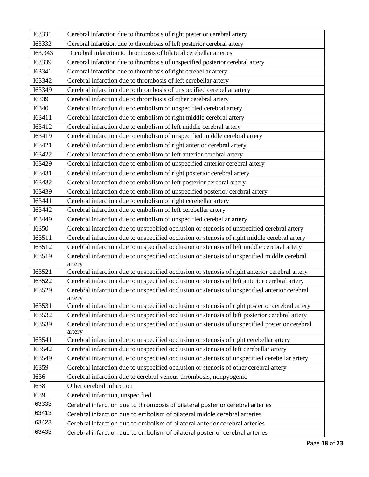| <b>I63331</b> | Cerebral infarction due to thrombosis of right posterior cerebral artery                                 |  |
|---------------|----------------------------------------------------------------------------------------------------------|--|
| <b>I63332</b> | Cerebral infarction due to thrombosis of left posterior cerebral artery                                  |  |
| I63.343       | Cerebral infarction to thrombosis of bilateral cerebellar arteries                                       |  |
| I63339        | Cerebral infarction due to thrombosis of unspecified posterior cerebral artery                           |  |
| I63341        | Cerebral infarction due to thrombosis of right cerebellar artery                                         |  |
| 163342        | Cerebral infarction due to thrombosis of left cerebellar artery                                          |  |
| I63349        | Cerebral infarction due to thrombosis of unspecified cerebellar artery                                   |  |
| <b>I6339</b>  | Cerebral infarction due to thrombosis of other cerebral artery                                           |  |
| <b>I6340</b>  | Cerebral infarction due to embolism of unspecified cerebral artery                                       |  |
| I63411        | Cerebral infarction due to embolism of right middle cerebral artery                                      |  |
| I63412        | Cerebral infarction due to embolism of left middle cerebral artery                                       |  |
| I63419        | Cerebral infarction due to embolism of unspecified middle cerebral artery                                |  |
| 163421        | Cerebral infarction due to embolism of right anterior cerebral artery                                    |  |
| 163422        | Cerebral infarction due to embolism of left anterior cerebral artery                                     |  |
| I63429        | Cerebral infarction due to embolism of unspecified anterior cerebral artery                              |  |
| I63431        | Cerebral infarction due to embolism of right posterior cerebral artery                                   |  |
| I63432        | Cerebral infarction due to embolism of left posterior cerebral artery                                    |  |
| I63439        | Cerebral infarction due to embolism of unspecified posterior cerebral artery                             |  |
| I63441        | Cerebral infarction due to embolism of right cerebellar artery                                           |  |
| I63442        | Cerebral infarction due to embolism of left cerebellar artery                                            |  |
| I63449        | Cerebral infarction due to embolism of unspecified cerebellar artery                                     |  |
| <b>I6350</b>  | Cerebral infarction due to unspecified occlusion or stenosis of unspecified cerebral artery              |  |
| I63511        | Cerebral infarction due to unspecified occlusion or stenosis of right middle cerebral artery             |  |
| I63512        | Cerebral infarction due to unspecified occlusion or stenosis of left middle cerebral artery              |  |
| I63519        | Cerebral infarction due to unspecified occlusion or stenosis of unspecified middle cerebral<br>artery    |  |
| I63521        | Cerebral infarction due to unspecified occlusion or stenosis of right anterior cerebral artery           |  |
| I63522        | Cerebral infarction due to unspecified occlusion or stenosis of left anterior cerebral artery            |  |
| I63529        | Cerebral infarction due to unspecified occlusion or stenosis of unspecified anterior cerebral<br>artery  |  |
| I63531        | Cerebral infarction due to unspecified occlusion or stenosis of right posterior cerebral artery          |  |
| I63532        | Cerebral infarction due to unspecified occlusion or stenosis of left posterior cerebral artery           |  |
| I63539        | Cerebral infarction due to unspecified occlusion or stenosis of unspecified posterior cerebral<br>artery |  |
| I63541        | Cerebral infarction due to unspecified occlusion or stenosis of right cerebellar artery                  |  |
| I63542        | Cerebral infarction due to unspecified occlusion or stenosis of left cerebellar artery                   |  |
| I63549        | Cerebral infarction due to unspecified occlusion or stenosis of unspecified cerebellar artery            |  |
| I6359         | Cerebral infarction due to unspecified occlusion or stenosis of other cerebral artery                    |  |
| I636          | Cerebral infarction due to cerebral venous thrombosis, nonpyogenic                                       |  |
| <b>I638</b>   | Other cerebral infarction                                                                                |  |
| I639          | Cerebral infarction, unspecified                                                                         |  |
| 163333        | Cerebral infarction due to thrombosis of bilateral posterior cerebral arteries                           |  |
| 163413        | Cerebral infarction due to embolism of bilateral middle cerebral arteries                                |  |
| 163423        | Cerebral infarction due to embolism of bilateral anterior cerebral arteries                              |  |
| 163433        | Cerebral infarction due to embolism of bilateral posterior cerebral arteries                             |  |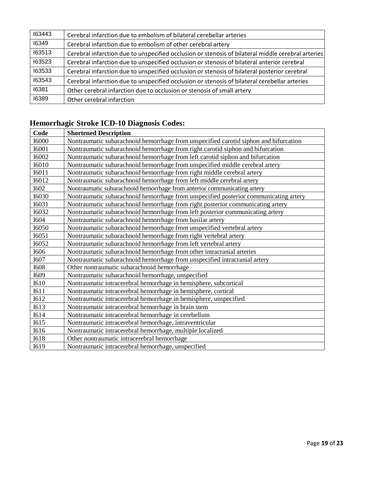| 163443 | Cerebral infarction due to embolism of bilateral cerebellar arteries                               |  |
|--------|----------------------------------------------------------------------------------------------------|--|
| 16349  | Cerebral infarction due to embolism of other cerebral artery                                       |  |
| 163513 | Cerebral infarction due to unspecified occlusion or stenosis of bilateral middle cerebral arteries |  |
| 163523 | Cerebral infarction due to unspecified occlusion or stenosis of bilateral anterior cerebral        |  |
| 163533 | Cerebral infarction due to unspecified occlusion or stenosis of bilateral posterior cerebral       |  |
| 163543 | Cerebral infarction due to unspecified occlusion or stenosis of bilateral cerebellar arteries      |  |
| 16381  | Other cerebral infarction due to occlusion or stenosis of small artery                             |  |
| 16389  | Other cerebral infarction                                                                          |  |

# **Hemorrhagic Stroke ICD-10 Diagnosis Codes:**

| Code         | <b>Shortened Description</b>                                                         |  |
|--------------|--------------------------------------------------------------------------------------|--|
| <b>I6000</b> | Nontraumatic subarachnoid hemorrhage from unspecified carotid siphon and bifurcation |  |
| <b>I6001</b> | Nontraumatic subarachnoid hemorrhage from right carotid siphon and bifurcation       |  |
| <b>I6002</b> | Nontraumatic subarachnoid hemorrhage from left carotid siphon and bifurcation        |  |
| <b>I6010</b> | Nontraumatic subarachnoid hemorrhage from unspecified middle cerebral artery         |  |
| <b>I6011</b> | Nontraumatic subarachnoid hemorrhage from right middle cerebral artery               |  |
| <b>I6012</b> | Nontraumatic subarachnoid hemorrhage from left middle cerebral artery                |  |
| <b>I602</b>  | Nontraumatic subarachnoid hemorrhage from anterior communicating artery              |  |
| <b>I6030</b> | Nontraumatic subarachnoid hemorrhage from unspecified posterior communicating artery |  |
| <b>I6031</b> | Nontraumatic subarachnoid hemorrhage from right posterior communicating artery       |  |
| <b>I6032</b> | Nontraumatic subarachnoid hemorrhage from left posterior communicating artery        |  |
| <b>I604</b>  | Nontraumatic subarachnoid hemorrhage from basilar artery                             |  |
| I6050        | Nontraumatic subarachnoid hemorrhage from unspecified vertebral artery               |  |
| I6051        | Nontraumatic subarachnoid hemorrhage from right vertebral artery                     |  |
| <b>I6052</b> | Nontraumatic subarachnoid hemorrhage from left vertebral artery                      |  |
| I606         | Nontraumatic subarachnoid hemorrhage from other intracranial arteries                |  |
| I607         | Nontraumatic subarachnoid hemorrhage from unspecified intracranial artery            |  |
| <b>I608</b>  | Other nontraumatic subarachnoid hemorrhage                                           |  |
| I609         | Nontraumatic subarachnoid hemorrhage, unspecified                                    |  |
| <b>I610</b>  | Nontraumatic intracerebral hemorrhage in hemisphere, subcortical                     |  |
| I611         | Nontraumatic intracerebral hemorrhage in hemisphere, cortical                        |  |
| I612         | Nontraumatic intracerebral hemorrhage in hemisphere, unspecified                     |  |
| I613         | Nontraumatic intracerebral hemorrhage in brain stem                                  |  |
| I614         | Nontraumatic intracerebral hemorrhage in cerebellum                                  |  |
| I615         | Nontraumatic intracerebral hemorrhage, intraventricular                              |  |
| I616         | Nontraumatic intracerebral hemorrhage, multiple localized                            |  |
| <b>I618</b>  | Other nontraumatic intracerebral hemorrhage                                          |  |
| I619         | Nontraumatic intracerebral hemorrhage, unspecified                                   |  |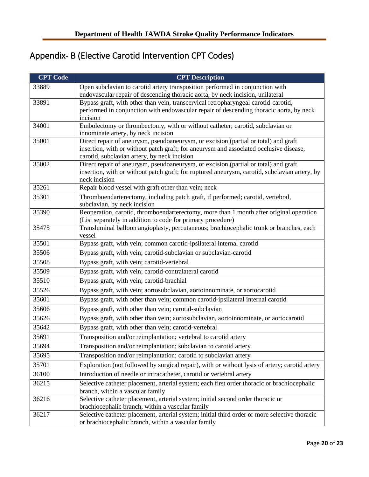# <span id="page-19-0"></span>Appendix- B (Elective Carotid Intervention CPT Codes)

| <b>CPT Code</b> | <b>CPT</b> Description                                                                                                                               |  |  |
|-----------------|------------------------------------------------------------------------------------------------------------------------------------------------------|--|--|
| 33889           | Open subclavian to carotid artery transposition performed in conjunction with                                                                        |  |  |
|                 | endovascular repair of descending thoracic aorta, by neck incision, unilateral                                                                       |  |  |
| 33891           | Bypass graft, with other than vein, transcervical retropharyngeal carotid-carotid,                                                                   |  |  |
|                 | performed in conjunction with endovascular repair of descending thoracic aorta, by neck<br>incision                                                  |  |  |
| 34001           | Embolectomy or thrombectomy, with or without catheter; carotid, subclavian or                                                                        |  |  |
|                 | innominate artery, by neck incision                                                                                                                  |  |  |
| 35001           | Direct repair of aneurysm, pseudoaneurysm, or excision (partial or total) and graft                                                                  |  |  |
|                 | insertion, with or without patch graft; for aneurysm and associated occlusive disease,<br>carotid, subclavian artery, by neck incision               |  |  |
| 35002           | Direct repair of aneurysm, pseudoaneurysm, or excision (partial or total) and graft                                                                  |  |  |
|                 | insertion, with or without patch graft; for ruptured aneurysm, carotid, subclavian artery, by<br>neck incision                                       |  |  |
| 35261           | Repair blood vessel with graft other than vein; neck                                                                                                 |  |  |
| 35301           | Thromboendarterectomy, including patch graft, if performed; carotid, vertebral,                                                                      |  |  |
|                 | subclavian, by neck incision                                                                                                                         |  |  |
| 35390           | Reoperation, carotid, thromboendarterectomy, more than 1 month after original operation                                                              |  |  |
|                 | (List separately in addition to code for primary procedure)                                                                                          |  |  |
| 35475           | Transluminal balloon angioplasty, percutaneous; brachiocephalic trunk or branches, each<br>vessel                                                    |  |  |
| 35501           | Bypass graft, with vein; common carotid-ipsilateral internal carotid                                                                                 |  |  |
| 35506           | Bypass graft, with vein; carotid-subclavian or subclavian-carotid                                                                                    |  |  |
| 35508           | Bypass graft, with vein; carotid-vertebral                                                                                                           |  |  |
| 35509           | Bypass graft, with vein; carotid-contralateral carotid                                                                                               |  |  |
| 35510           | Bypass graft, with vein; carotid-brachial                                                                                                            |  |  |
| 35526           | Bypass graft, with vein; aortosubclavian, aortoinnominate, or aortocarotid                                                                           |  |  |
| 35601           | Bypass graft, with other than vein; common carotid-ipsilateral internal carotid                                                                      |  |  |
| 35606           | Bypass graft, with other than vein; carotid-subclavian                                                                                               |  |  |
| 35626           | Bypass graft, with other than vein; aortosubclavian, aortoinnominate, or aortocarotid                                                                |  |  |
| 35642           | Bypass graft, with other than vein; carotid-vertebral                                                                                                |  |  |
| 35691           | Transposition and/or reimplantation; vertebral to carotid artery                                                                                     |  |  |
| 35694           | Transposition and/or reimplantation; subclavian to carotid artery                                                                                    |  |  |
| 35695           | Transposition and/or reimplantation; carotid to subclavian artery                                                                                    |  |  |
| 35701           | Exploration (not followed by surgical repair), with or without lysis of artery; carotid artery                                                       |  |  |
| 36100           | Introduction of needle or intracatheter, carotid or vertebral artery                                                                                 |  |  |
| 36215           | Selective catheter placement, arterial system; each first order thoracic or brachiocephalic<br>branch, within a vascular family                      |  |  |
| 36216           | Selective catheter placement, arterial system; initial second order thoracic or                                                                      |  |  |
|                 | brachiocephalic branch, within a vascular family                                                                                                     |  |  |
| 36217           | Selective catheter placement, arterial system; initial third order or more selective thoracic<br>or brachiocephalic branch, within a vascular family |  |  |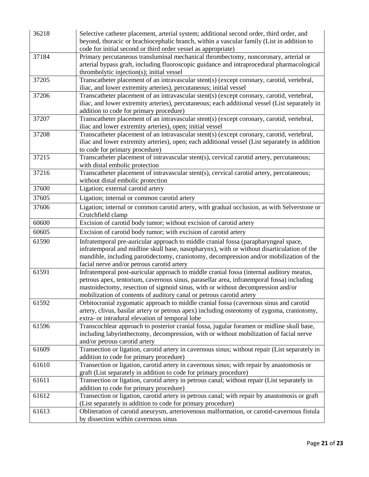| 36218 | Selective catheter placement, arterial system; additional second order, third order, and<br>beyond, thoracic or brachiocephalic branch, within a vascular family (List in addition to<br>code for initial second or third order vessel as appropriate)                                                                                           |  |
|-------|--------------------------------------------------------------------------------------------------------------------------------------------------------------------------------------------------------------------------------------------------------------------------------------------------------------------------------------------------|--|
| 37184 | Primary percutaneous transluminal mechanical thrombectomy, noncoronary, arterial or<br>arterial bypass graft, including fluoroscopic guidance and intraprocedural pharmacological<br>thrombolytic injection(s); initial vessel                                                                                                                   |  |
| 37205 | Transcatheter placement of an intravascular stent(s) (except coronary, carotid, vertebral,<br>iliac, and lower extremity arteries), percutaneous; initial vessel                                                                                                                                                                                 |  |
| 37206 | Transcatheter placement of an intravascular stent(s) (except coronary, carotid, vertebral,<br>iliac, and lower extremity arteries), percutaneous; each additional vessel (List separately in<br>addition to code for primary procedure)                                                                                                          |  |
| 37207 | Transcatheter placement of an intravascular stent(s) (except coronary, carotid, vertebral,<br>iliac and lower extremity arteries), open; initial vessel                                                                                                                                                                                          |  |
| 37208 | Transcatheter placement of an intravascular stent(s) (except coronary, carotid, vertebral,<br>iliac and lower extremity arteries), open; each additional vessel (List separately in addition<br>to code for primary procedure)                                                                                                                   |  |
| 37215 | Transcatheter placement of intravascular stent(s), cervical carotid artery, percutaneous;<br>with distal embolic protection                                                                                                                                                                                                                      |  |
| 37216 | Transcatheter placement of intravascular stent(s), cervical carotid artery, percutaneous;<br>without distal embolic protection                                                                                                                                                                                                                   |  |
| 37600 | Ligation; external carotid artery                                                                                                                                                                                                                                                                                                                |  |
| 37605 | Ligation; internal or common carotid artery                                                                                                                                                                                                                                                                                                      |  |
| 37606 | Ligation; internal or common carotid artery, with gradual occlusion, as with Selverstone or<br>Crutchfield clamp                                                                                                                                                                                                                                 |  |
| 60600 | Excision of carotid body tumor; without excision of carotid artery                                                                                                                                                                                                                                                                               |  |
| 60605 | Excision of carotid body tumor; with excision of carotid artery                                                                                                                                                                                                                                                                                  |  |
| 61590 | Infratemporal pre-auricular approach to middle cranial fossa (parapharyngeal space,<br>infratemporal and midline skull base, nasopharynx), with or without disarticulation of the<br>mandible, including parotidectomy, craniotomy, decompression and/or mobilization of the<br>facial nerve and/or petrous carotid artery                       |  |
| 61591 | Infratemporal post-auricular approach to middle cranial fossa (internal auditory meatus,<br>petrous apex, tentorium, cavernous sinus, parasellar area, infratemporal fossa) including<br>mastoidectomy, resection of sigmoid sinus, with or without decompression and/or<br>mobilization of contents of auditory canal or petrous carotid artery |  |
| 61592 | Orbitocranial zygomatic approach to middle cranial fossa (cavernous sinus and carotid<br>artery, clivus, basilar artery or petrous apex) including osteotomy of zygoma, craniotomy,<br>extra- or intradural elevation of temporal lobe                                                                                                           |  |
| 61596 | Transcochlear approach to posterior cranial fossa, jugular foramen or midline skull base,<br>including labyrinthectomy, decompression, with or without mobilization of facial nerve<br>and/or petrous carotid artery                                                                                                                             |  |
| 61609 | Transection or ligation, carotid artery in cavernous sinus; without repair (List separately in<br>addition to code for primary procedure)                                                                                                                                                                                                        |  |
| 61610 | Transection or ligation, carotid artery in cavernous sinus; with repair by anastomosis or<br>graft (List separately in addition to code for primary procedure)                                                                                                                                                                                   |  |
| 61611 | Transection or ligation, carotid artery in petrous canal; without repair (List separately in<br>addition to code for primary procedure)                                                                                                                                                                                                          |  |
| 61612 | Transection or ligation, carotid artery in petrous canal; with repair by anastomosis or graft<br>(List separately in addition to code for primary procedure)                                                                                                                                                                                     |  |
| 61613 | Obliteration of carotid aneurysm, arteriovenous malformation, or carotid-cavernous fistula<br>by dissection within cavernous sinus                                                                                                                                                                                                               |  |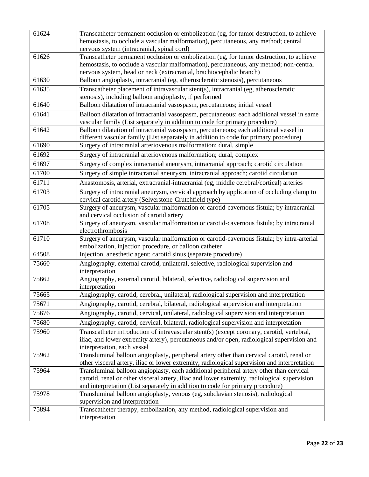| 61624 | Transcatheter permanent occlusion or embolization (eg, for tumor destruction, to achieve<br>hemostasis, to occlude a vascular malformation), percutaneous, any method; central<br>nervous system (intracranial, spinal cord)                                              |  |
|-------|---------------------------------------------------------------------------------------------------------------------------------------------------------------------------------------------------------------------------------------------------------------------------|--|
| 61626 | Transcatheter permanent occlusion or embolization (eg, for tumor destruction, to achieve<br>hemostasis, to occlude a vascular malformation), percutaneous, any method; non-central<br>nervous system, head or neck (extracranial, brachiocephalic branch)                 |  |
| 61630 | Balloon angioplasty, intracranial (eg, atherosclerotic stenosis), percutaneous                                                                                                                                                                                            |  |
| 61635 | Transcatheter placement of intravascular stent(s), intracranial (eg, atherosclerotic<br>stenosis), including balloon angioplasty, if performed                                                                                                                            |  |
| 61640 | Balloon dilatation of intracranial vasospasm, percutaneous; initial vessel                                                                                                                                                                                                |  |
| 61641 | Balloon dilatation of intracranial vasospasm, percutaneous; each additional vessel in same<br>vascular family (List separately in addition to code for primary procedure)                                                                                                 |  |
| 61642 | Balloon dilatation of intracranial vasospasm, percutaneous; each additional vessel in<br>different vascular family (List separately in addition to code for primary procedure)                                                                                            |  |
| 61690 | Surgery of intracranial arteriovenous malformation; dural, simple                                                                                                                                                                                                         |  |
| 61692 | Surgery of intracranial arteriovenous malformation; dural, complex                                                                                                                                                                                                        |  |
| 61697 | Surgery of complex intracranial aneurysm, intracranial approach; carotid circulation                                                                                                                                                                                      |  |
| 61700 | Surgery of simple intracranial aneurysm, intracranial approach; carotid circulation                                                                                                                                                                                       |  |
| 61711 | Anastomosis, arterial, extracranial-intracranial (eg, middle cerebral/cortical) arteries                                                                                                                                                                                  |  |
| 61703 | Surgery of intracranial aneurysm, cervical approach by application of occluding clamp to<br>cervical carotid artery (Selverstone-Crutchfield type)                                                                                                                        |  |
| 61705 | Surgery of aneurysm, vascular malformation or carotid-cavernous fistula; by intracranial<br>and cervical occlusion of carotid artery                                                                                                                                      |  |
| 61708 | Surgery of aneurysm, vascular malformation or carotid-cavernous fistula; by intracranial<br>electrothrombosis                                                                                                                                                             |  |
| 61710 | Surgery of aneurysm, vascular malformation or carotid-cavernous fistula; by intra-arterial<br>embolization, injection procedure, or balloon catheter                                                                                                                      |  |
| 64508 | Injection, anesthetic agent; carotid sinus (separate procedure)                                                                                                                                                                                                           |  |
| 75660 | Angiography, external carotid, unilateral, selective, radiological supervision and<br>interpretation                                                                                                                                                                      |  |
| 75662 | Angiography, external carotid, bilateral, selective, radiological supervision and<br>interpretation                                                                                                                                                                       |  |
| 75665 | Angiography, carotid, cerebral, unilateral, radiological supervision and interpretation                                                                                                                                                                                   |  |
| 75671 | Angiography, carotid, cerebral, bilateral, radiological supervision and interpretation                                                                                                                                                                                    |  |
| 75676 | Angiography, carotid, cervical, unilateral, radiological supervision and interpretation                                                                                                                                                                                   |  |
| 75680 | Angiography, carotid, cervical, bilateral, radiological supervision and interpretation                                                                                                                                                                                    |  |
| 75960 | Transcatheter introduction of intravascular stent(s) (except coronary, carotid, vertebral,<br>iliac, and lower extremity artery), percutaneous and/or open, radiological supervision and<br>interpretation, each vessel                                                   |  |
| 75962 | Transluminal balloon angioplasty, peripheral artery other than cervical carotid, renal or<br>other visceral artery, iliac or lower extremity, radiological supervision and interpretation                                                                                 |  |
| 75964 | Transluminal balloon angioplasty, each additional peripheral artery other than cervical<br>carotid, renal or other visceral artery, iliac and lower extremity, radiological supervision<br>and interpretation (List separately in addition to code for primary procedure) |  |
| 75978 | Transluminal balloon angioplasty, venous (eg, subclavian stenosis), radiological<br>supervision and interpretation                                                                                                                                                        |  |
| 75894 | Transcatheter therapy, embolization, any method, radiological supervision and<br>interpretation                                                                                                                                                                           |  |